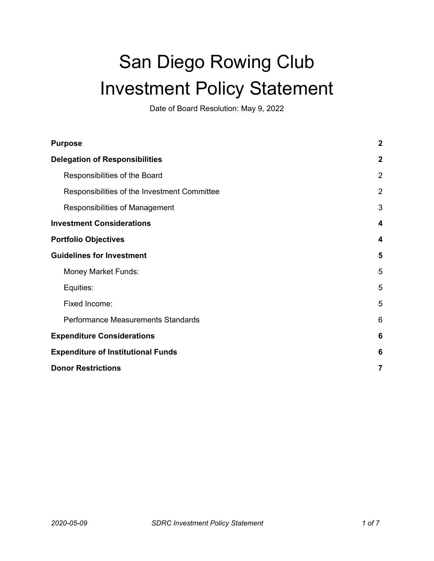# San Diego Rowing Club Investment Policy Statement

Date of Board Resolution: May 9, 2022

| <b>Purpose</b>                               | $\boldsymbol{2}$ |
|----------------------------------------------|------------------|
| <b>Delegation of Responsibilities</b>        | $\boldsymbol{2}$ |
| Responsibilities of the Board                | $\overline{2}$   |
| Responsibilities of the Investment Committee | 2                |
| Responsibilities of Management               | 3                |
| <b>Investment Considerations</b>             | 4                |
| <b>Portfolio Objectives</b>                  | 4                |
| <b>Guidelines for Investment</b>             | 5                |
| <b>Money Market Funds:</b>                   | 5                |
| Equities:                                    | 5                |
| Fixed Income:                                | 5                |
| Performance Measurements Standards           | 6                |
| <b>Expenditure Considerations</b>            | 6                |
| <b>Expenditure of Institutional Funds</b>    | 6                |
| <b>Donor Restrictions</b>                    | 7                |
|                                              |                  |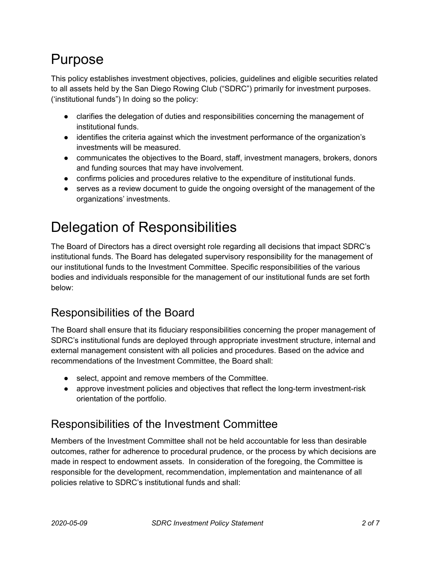# <span id="page-1-0"></span>Purpose

This policy establishes investment objectives, policies, guidelines and eligible securities related to all assets held by the San Diego Rowing Club ("SDRC") primarily for investment purposes. ('institutional funds") In doing so the policy:

- clarifies the delegation of duties and responsibilities concerning the management of institutional funds.
- identifies the criteria against which the investment performance of the organization's investments will be measured.
- communicates the objectives to the Board, staff, investment managers, brokers, donors and funding sources that may have involvement.
- confirms policies and procedures relative to the expenditure of institutional funds.
- serves as a review document to quide the ongoing oversight of the management of the organizations' investments.

# <span id="page-1-1"></span>Delegation of Responsibilities

The Board of Directors has a direct oversight role regarding all decisions that impact SDRC's institutional funds. The Board has delegated supervisory responsibility for the management of our institutional funds to the Investment Committee. Specific responsibilities of the various bodies and individuals responsible for the management of our institutional funds are set forth below:

### <span id="page-1-2"></span>Responsibilities of the Board

The Board shall ensure that its fiduciary responsibilities concerning the proper management of SDRC's institutional funds are deployed through appropriate investment structure, internal and external management consistent with all policies and procedures. Based on the advice and recommendations of the Investment Committee, the Board shall:

- select, appoint and remove members of the Committee.
- approve investment policies and objectives that reflect the long-term investment-risk orientation of the portfolio.

### <span id="page-1-3"></span>Responsibilities of the Investment Committee

Members of the Investment Committee shall not be held accountable for less than desirable outcomes, rather for adherence to procedural prudence, or the process by which decisions are made in respect to endowment assets. In consideration of the foregoing, the Committee is responsible for the development, recommendation, implementation and maintenance of all policies relative to SDRC's institutional funds and shall: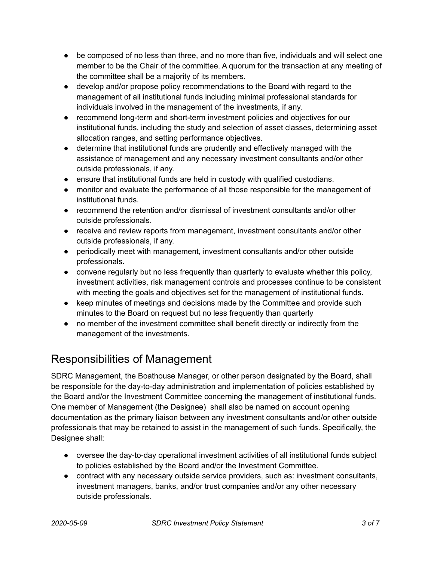- be composed of no less than three, and no more than five, individuals and will select one member to be the Chair of the committee. A quorum for the transaction at any meeting of the committee shall be a majority of its members.
- develop and/or propose policy recommendations to the Board with regard to the management of all institutional funds including minimal professional standards for individuals involved in the management of the investments, if any.
- recommend long-term and short-term investment policies and objectives for our institutional funds, including the study and selection of asset classes, determining asset allocation ranges, and setting performance objectives.
- determine that institutional funds are prudently and effectively managed with the assistance of management and any necessary investment consultants and/or other outside professionals, if any.
- ensure that institutional funds are held in custody with qualified custodians.
- monitor and evaluate the performance of all those responsible for the management of institutional funds.
- recommend the retention and/or dismissal of investment consultants and/or other outside professionals.
- receive and review reports from management, investment consultants and/or other outside professionals, if any.
- periodically meet with management, investment consultants and/or other outside professionals.
- convene regularly but no less frequently than quarterly to evaluate whether this policy, investment activities, risk management controls and processes continue to be consistent with meeting the goals and objectives set for the management of institutional funds.
- keep minutes of meetings and decisions made by the Committee and provide such minutes to the Board on request but no less frequently than quarterly
- no member of the investment committee shall benefit directly or indirectly from the management of the investments.

### <span id="page-2-0"></span>Responsibilities of Management

SDRC Management, the Boathouse Manager, or other person designated by the Board, shall be responsible for the day-to-day administration and implementation of policies established by the Board and/or the Investment Committee concerning the management of institutional funds. One member of Management (the Designee) shall also be named on account opening documentation as the primary liaison between any investment consultants and/or other outside professionals that may be retained to assist in the management of such funds. Specifically, the Designee shall:

- oversee the day-to-day operational investment activities of all institutional funds subject to policies established by the Board and/or the Investment Committee.
- contract with any necessary outside service providers, such as: investment consultants, investment managers, banks, and/or trust companies and/or any other necessary outside professionals.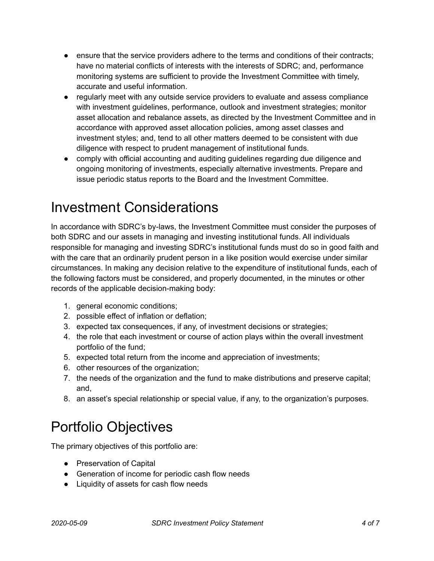- ensure that the service providers adhere to the terms and conditions of their contracts; have no material conflicts of interests with the interests of SDRC; and, performance monitoring systems are sufficient to provide the Investment Committee with timely, accurate and useful information.
- regularly meet with any outside service providers to evaluate and assess compliance with investment guidelines, performance, outlook and investment strategies; monitor asset allocation and rebalance assets, as directed by the Investment Committee and in accordance with approved asset allocation policies, among asset classes and investment styles; and, tend to all other matters deemed to be consistent with due diligence with respect to prudent management of institutional funds.
- comply with official accounting and auditing guidelines regarding due diligence and ongoing monitoring of investments, especially alternative investments. Prepare and issue periodic status reports to the Board and the Investment Committee.

### <span id="page-3-0"></span>Investment Considerations

In accordance with SDRC's by-laws, the Investment Committee must consider the purposes of both SDRC and our assets in managing and investing institutional funds. All individuals responsible for managing and investing SDRC's institutional funds must do so in good faith and with the care that an ordinarily prudent person in a like position would exercise under similar circumstances. In making any decision relative to the expenditure of institutional funds, each of the following factors must be considered, and properly documented, in the minutes or other records of the applicable decision-making body:

- 1. general economic conditions;
- 2. possible effect of inflation or deflation;
- 3. expected tax consequences, if any, of investment decisions or strategies;
- 4. the role that each investment or course of action plays within the overall investment portfolio of the fund;
- 5. expected total return from the income and appreciation of investments;
- 6. other resources of the organization;
- 7. the needs of the organization and the fund to make distributions and preserve capital; and,
- 8. an asset's special relationship or special value, if any, to the organization's purposes.

# <span id="page-3-1"></span>Portfolio Objectives

The primary objectives of this portfolio are:

- Preservation of Capital
- Generation of income for periodic cash flow needs
- Liquidity of assets for cash flow needs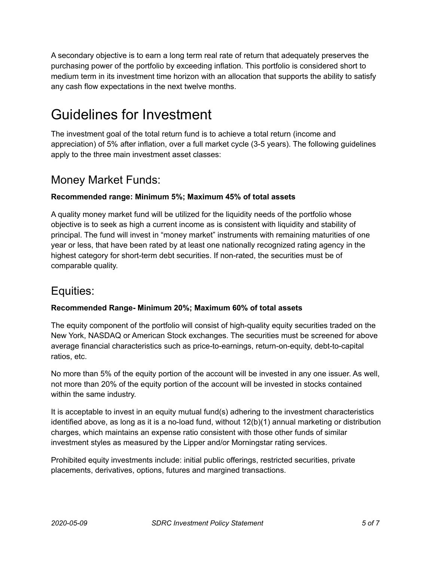A secondary objective is to earn a long term real rate of return that adequately preserves the purchasing power of the portfolio by exceeding inflation. This portfolio is considered short to medium term in its investment time horizon with an allocation that supports the ability to satisfy any cash flow expectations in the next twelve months.

# <span id="page-4-0"></span>Guidelines for Investment

The investment goal of the total return fund is to achieve a total return (income and appreciation) of 5% after inflation, over a full market cycle (3-5 years). The following guidelines apply to the three main investment asset classes:

### <span id="page-4-1"></span>Money Market Funds:

#### **Recommended range: Minimum 5%; Maximum 45% of total assets**

A quality money market fund will be utilized for the liquidity needs of the portfolio whose objective is to seek as high a current income as is consistent with liquidity and stability of principal. The fund will invest in "money market" instruments with remaining maturities of one year or less, that have been rated by at least one nationally recognized rating agency in the highest category for short-term debt securities. If non-rated, the securities must be of comparable quality.

### <span id="page-4-2"></span>Equities:

#### **Recommended Range- Minimum 20%; Maximum 60% of total assets**

The equity component of the portfolio will consist of high-quality equity securities traded on the New York, NASDAQ or American Stock exchanges. The securities must be screened for above average financial characteristics such as price-to-earnings, return-on-equity, debt-to-capital ratios, etc.

No more than 5% of the equity portion of the account will be invested in any one issuer. As well, not more than 20% of the equity portion of the account will be invested in stocks contained within the same industry.

It is acceptable to invest in an equity mutual fund(s) adhering to the investment characteristics identified above, as long as it is a no-load fund, without 12(b)(1) annual marketing or distribution charges, which maintains an expense ratio consistent with those other funds of similar investment styles as measured by the Lipper and/or Morningstar rating services.

Prohibited equity investments include: initial public offerings, restricted securities, private placements, derivatives, options, futures and margined transactions.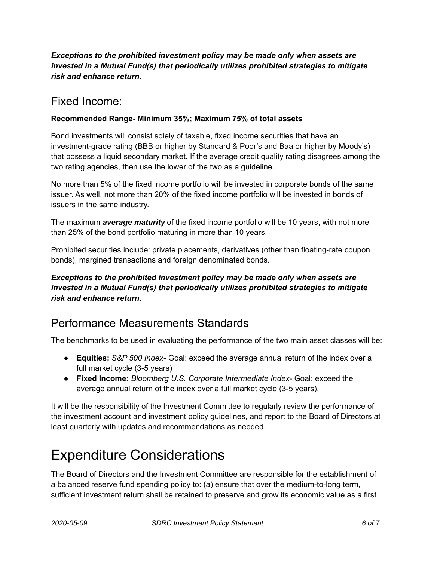#### *Exceptions to the prohibited investment policy may be made only when assets are invested in a Mutual Fund(s) that periodically utilizes prohibited strategies to mitigate risk and enhance return.*

### <span id="page-5-0"></span>Fixed Income:

#### **Recommended Range- Minimum 35%; Maximum 75% of total assets**

Bond investments will consist solely of taxable, fixed income securities that have an investment-grade rating (BBB or higher by Standard & Poor's and Baa or higher by Moody's) that possess a liquid secondary market. If the average credit quality rating disagrees among the two rating agencies, then use the lower of the two as a guideline.

No more than 5% of the fixed income portfolio will be invested in corporate bonds of the same issuer. As well, not more than 20% of the fixed income portfolio will be invested in bonds of issuers in the same industry.

The maximum *average maturity* of the fixed income portfolio will be 10 years, with not more than 25% of the bond portfolio maturing in more than 10 years.

Prohibited securities include: private placements, derivatives (other than floating-rate coupon bonds), margined transactions and foreign denominated bonds.

#### *Exceptions to the prohibited investment policy may be made only when assets are invested in a Mutual Fund(s) that periodically utilizes prohibited strategies to mitigate risk and enhance return.*

### <span id="page-5-1"></span>Performance Measurements Standards

The benchmarks to be used in evaluating the performance of the two main asset classes will be:

- **Equities:** *S&P 500 Index* Goal: exceed the average annual return of the index over a full market cycle (3-5 years)
- **Fixed Income:** *Bloomberg U.S. Corporate Intermediate Index* Goal: exceed the average annual return of the index over a full market cycle (3-5 years).

It will be the responsibility of the Investment Committee to regularly review the performance of the investment account and investment policy guidelines, and report to the Board of Directors at least quarterly with updates and recommendations as needed.

# <span id="page-5-2"></span>Expenditure Considerations

The Board of Directors and the Investment Committee are responsible for the establishment of a balanced reserve fund spending policy to: (a) ensure that over the medium-to-long term, sufficient investment return shall be retained to preserve and grow its economic value as a first